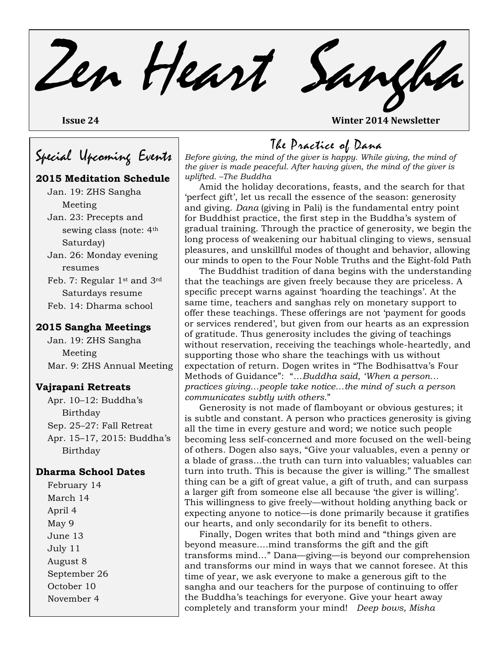Zen Heart Sangha **Issue 24 Winter 2014 Newsletter** 

# Special Upcoming Events

#### **2015 Meditation Schedule**

Jan. 19: ZHS Sangha Meeting Jan. 23: Precepts and sewing class (note: 4th Saturday) Jan. 26: Monday evening resumes Feb. 7: Regular 1st and 3rd

Saturdays resume Feb. 14: Dharma school

#### **2015 Sangha Meetings**

Jan. 19: ZHS Sangha Meeting Mar. 9: ZHS Annual Meeting

#### **Vajrapani Retreats**

Apr. 10–12: Buddha's Birthday Sep. 25–27: Fall Retreat Apr. 15–17, 2015: Buddha's Birthday

#### **Dharma School Dates**

February 14 March 14 April 4 May 9 June 13 July 11 August 8 September 26 October 10 November 4

### The Practice of Dana

*Before giving, the mind of the giver is happy. While giving, the mind of the giver is made peaceful. After having given, the mind of the giver is uplifted. –The Buddha*

Amid the holiday decorations, feasts, and the search for that 'perfect gift', let us recall the essence of the season: generosity and giving. *Dana* (giving in Pali) is the fundamental entry point for Buddhist practice, the first step in the Buddha's system of gradual training. Through the practice of generosity, we begin the long process of weakening our habitual clinging to views, sensual pleasures, and unskillful modes of thought and behavior, allowing our minds to open to the Four Noble Truths and the Eight-fold Path.

The Buddhist tradition of dana begins with the understanding that the teachings are given freely because they are priceless. A specific precept warns against 'hoarding the teachings'. At the same time, teachers and sanghas rely on monetary support to offer these teachings. These offerings are not 'payment for goods or services rendered', but given from our hearts as an expression of gratitude. Thus generosity includes the giving of teachings without reservation, receiving the teachings whole-heartedly, and supporting those who share the teachings with us without expectation of return. Dogen writes in "The Bodhisattva's Four Methods of Guidance": "*…Buddha said, 'When a person… practices giving…people take notice…the mind of such a person communicates subtly with others.*"

Generosity is not made of flamboyant or obvious gestures; it is subtle and constant. A person who practices generosity is giving all the time in every gesture and word; we notice such people becoming less self-concerned and more focused on the well-being of others. Dogen also says, "Give your valuables, even a penny or a blade of grass…the truth can turn into valuables; valuables can turn into truth. This is because the giver is willing." The smallest thing can be a gift of great value, a gift of truth, and can surpass a larger gift from someone else all because 'the giver is willing'. This willingness to give freely—without holding anything back or expecting anyone to notice—is done primarily because it gratifies our hearts, and only secondarily for its benefit to others.

Finally, Dogen writes that both mind and "things given are beyond measure….mind transforms the gift and the gift transforms mind…" Dana—giving—is beyond our comprehension and transforms our mind in ways that we cannot foresee. At this time of year, we ask everyone to make a generous gift to the sangha and our teachers for the purpose of continuing to offer the Buddha's teachings for everyone. Give your heart away completely and transform your mind! *Deep bows, Misha*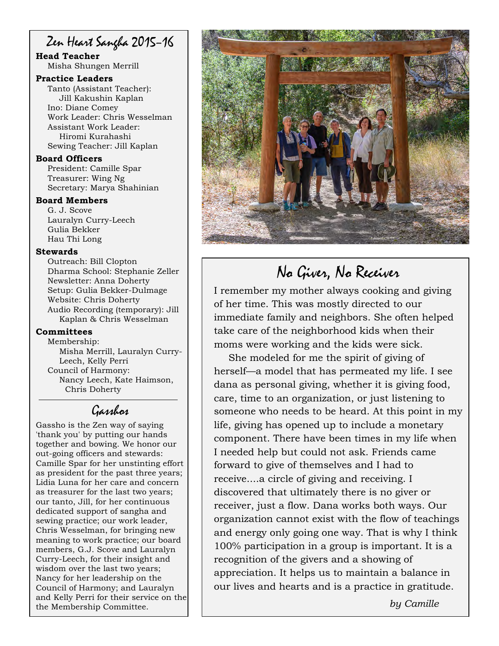## Zen Heart Sangha 2015–16

#### **Head Teacher** Misha Shungen Merrill

#### **Practice Leaders**

Tanto (Assistant Teacher): Jill Kakushin Kaplan Ino: Diane Comey Work Leader: Chris Wesselman Assistant Work Leader: Hiromi Kurahashi Sewing Teacher: Jill Kaplan

#### **Board Officers**

President: Camille Spar Treasurer: Wing Ng Secretary: Marya Shahinian

#### **Board Members**

G. J. Scove Lauralyn Curry-Leech Gulia Bekker Hau Thi Long

#### **Stewards**

Outreach: Bill Clopton Dharma School: Stephanie Zeller Newsletter: Anna Doherty Setup: Gulia Bekker-Dulmage Website: Chris Doherty Audio Recording (temporary): Jill Kaplan & Chris Wesselman

#### **Committees**

Membership: Misha Merrill, Lauralyn Curry-Leech, Kelly Perri Council of Harmony: Nancy Leech, Kate Haimson, Chris Doherty

### Gasshos

Gassho is the Zen way of saying 'thank you' by putting our hands together and bowing. We honor our out-going officers and stewards: Camille Spar for her unstinting effort as president for the past three years; Lidia Luna for her care and concern as treasurer for the last two years; our tanto, Jill, for her continuous dedicated support of sangha and sewing practice; our work leader, Chris Wesselman, for bringing new meaning to work practice; our board members, G.J. Scove and Lauralyn Curry-Leech, for their insight and wisdom over the last two years; Nancy for her leadership on the Council of Harmony; and Lauralyn and Kelly Perri for their service on the the Membership Committee.



# No Giver, No Receiver

I remember my mother always cooking and giving of her time. This was mostly directed to our immediate family and neighbors. She often helped take care of the neighborhood kids when their moms were working and the kids were sick.

She modeled for me the spirit of giving of herself—a model that has permeated my life. I see dana as personal giving, whether it is giving food, care, time to an organization, or just listening to someone who needs to be heard. At this point in my life, giving has opened up to include a monetary component. There have been times in my life when I needed help but could not ask. Friends came forward to give of themselves and I had to receive....a circle of giving and receiving. I discovered that ultimately there is no giver or receiver, just a flow. Dana works both ways. Our organization cannot exist with the flow of teachings and energy only going one way. That is why I think 100% participation in a group is important. It is a recognition of the givers and a showing of appreciation. It helps us to maintain a balance in our lives and hearts and is a practice in gratitude.

*by Camille*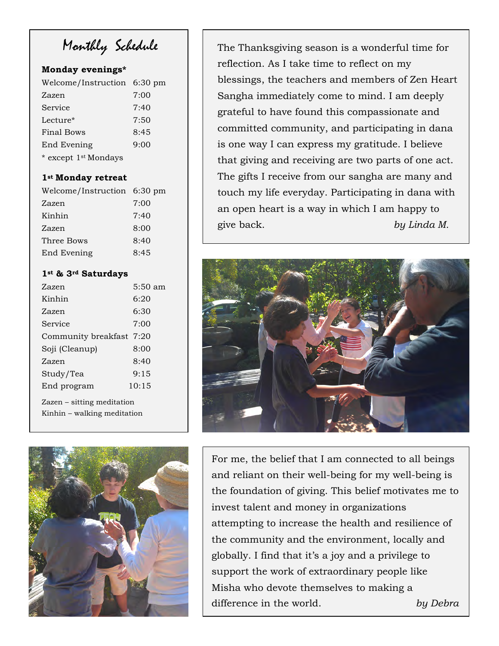Monthly Schedule

#### **Monday evenings\***

| Welcome/Instruction 6:30 pm |      |
|-----------------------------|------|
| Zazen                       | 7:00 |
| Service                     | 7:40 |
| Lecture*                    | 7:50 |
| <b>Final Bows</b>           | 8:45 |
| End Evening                 | 9:00 |
| * except 1st Mondays        |      |

#### **1st Monday retreat**

| Welcome/Instruction 6:30 pm |      |
|-----------------------------|------|
| Zazen                       | 7:00 |
| Kinhin                      | 7:40 |
| Zazen                       | 8:00 |
| Three Bows                  | 8:40 |
| End Evening                 | 8:45 |

#### **1st & 3rd Saturdays**

| Zazen                                                     | $5:50 \text{ am}$ |  |
|-----------------------------------------------------------|-------------------|--|
| Kinhin                                                    | 6:20              |  |
| Zazen                                                     | 6:30              |  |
| Service                                                   | 7:00              |  |
| Community breakfast 7:20                                  |                   |  |
| Soji (Cleanup)                                            | 8:00              |  |
| Zazen                                                     | 8:40              |  |
| Study/Tea                                                 | 9:15              |  |
| End program                                               | 10:15             |  |
| Zazen – sitting meditation<br>Kinhin – walking meditation |                   |  |



The Thanksgiving season is a wonderful time for reflection. As I take time to reflect on my blessings, the teachers and members of Zen Heart Sangha immediately come to mind. I am deeply grateful to have found this compassionate and committed community, and participating in dana is one way I can express my gratitude. I believe that giving and receiving are two parts of one act. The gifts I receive from our sangha are many and touch my life everyday. Participating in dana with an open heart is a way in which I am happy to give back. *by Linda M.*



For me, the belief that I am connected to all beings and reliant on their well-being for my well-being is the foundation of giving. This belief motivates me to invest talent and money in organizations attempting to increase the health and resilience of the community and the environment, locally and globally. I find that it's a joy and a privilege to support the work of extraordinary people like Misha who devote themselves to making a difference in the world. *by Debra*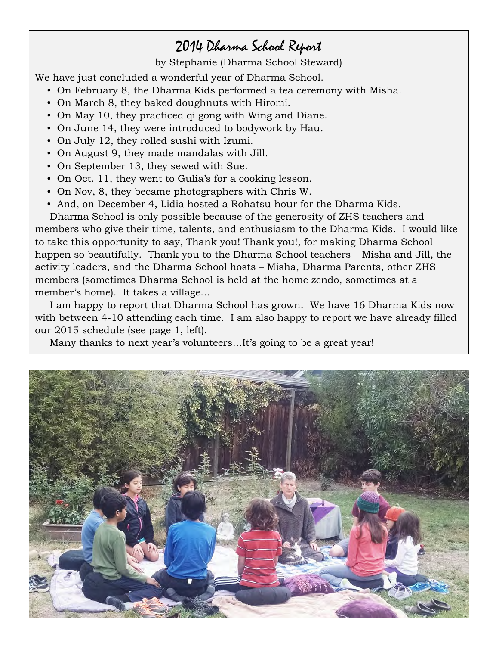## 2014 Dharma School Report

by Stephanie (Dharma School Steward)

We have just concluded a wonderful year of Dharma School.

- On February 8, the Dharma Kids performed a tea ceremony with Misha.
- On March 8, they baked doughnuts with Hiromi.
- On May 10, they practiced qi gong with Wing and Diane.
- On June 14, they were introduced to bodywork by Hau.
- On July 12, they rolled sushi with Izumi.
- On August 9, they made mandalas with Jill.
- On September 13, they sewed with Sue.
- On Oct. 11, they went to Gulia's for a cooking lesson.
- On Nov, 8, they became photographers with Chris W.
- And, on December 4, Lidia hosted a Rohatsu hour for the Dharma Kids.

Dharma School is only possible because of the generosity of ZHS teachers and members who give their time, talents, and enthusiasm to the Dharma Kids. I would like to take this opportunity to say, Thank you! Thank you!, for making Dharma School happen so beautifully. Thank you to the Dharma School teachers – Misha and Jill, the activity leaders, and the Dharma School hosts – Misha, Dharma Parents, other ZHS members (sometimes Dharma School is held at the home zendo, sometimes at a member's home). It takes a village…

I am happy to report that Dharma School has grown. We have 16 Dharma Kids now with between 4-10 attending each time. I am also happy to report we have already filled our 2015 schedule (see page 1, left).

Many thanks to next year's volunteers…It's going to be a great year!

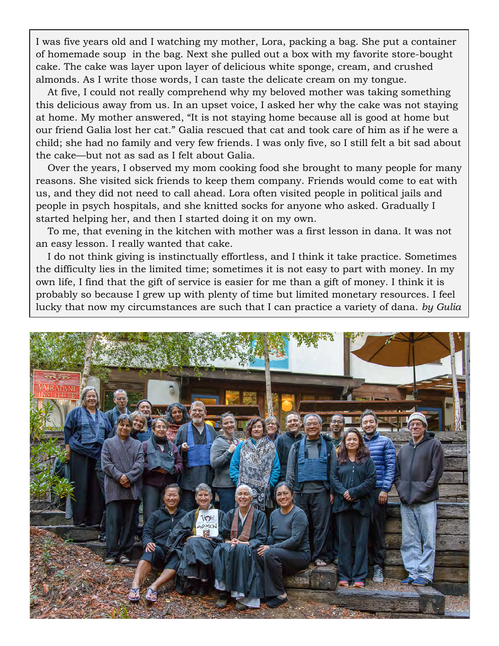I was five years old and I watching my mother, Lora, packing a bag. She put a container of homemade soup in the bag. Next she pulled out a box with my favorite store-bought cake. The cake was layer upon layer of delicious white sponge, cream, and crushed almonds. As I write those words, I can taste the delicate cream on my tongue.

At five, I could not really comprehend why my beloved mother was taking something this delicious away from us. In an upset voice, I asked her why the cake was not staying at home. My mother answered, "It is not staying home because all is good at home but our friend Galia lost her cat." Galia rescued that cat and took care of him as if he were a child; she had no family and very few friends. I was only five, so I still felt a bit sad about the cake—but not as sad as I felt about Galia.

Over the years, I observed my mom cooking food she brought to many people for many reasons. She visited sick friends to keep them company. Friends would come to eat with us, and they did not need to call ahead. Lora often visited people in political jails and people in psych hospitals, and she knitted socks for anyone who asked. Gradually I started helping her, and then I started doing it on my own.

To me, that evening in the kitchen with mother was a first lesson in dana. It was not an easy lesson. I really wanted that cake.

I do not think giving is instinctually effortless, and I think it take practice. Sometimes the difficulty lies in the limited time; sometimes it is not easy to part with money. In my own life, I find that the gift of service is easier for me than a gift of money. I think it is probably so because I grew up with plenty of time but limited monetary resources. I feel lucky that now my circumstances are such that I can practice a variety of dana. *by Gulia*